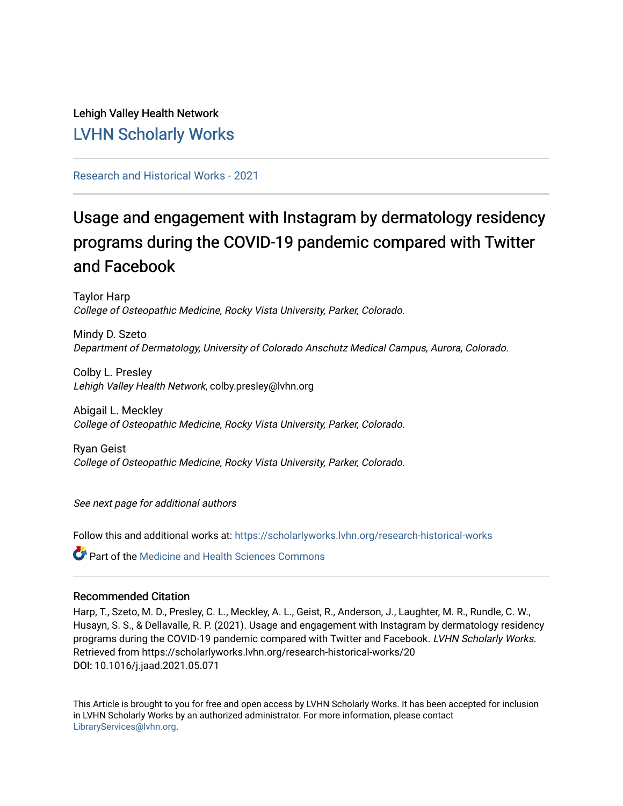## Lehigh Valley Health Network [LVHN Scholarly Works](https://scholarlyworks.lvhn.org/)

## [Research and Historical Works - 2021](https://scholarlyworks.lvhn.org/research-historical-works)

# Usage and engagement with Instagram by dermatology residency programs during the COVID-19 pandemic compared with Twitter and Facebook

Taylor Harp College of Osteopathic Medicine, Rocky Vista University, Parker, Colorado.

Mindy D. Szeto Department of Dermatology, University of Colorado Anschutz Medical Campus, Aurora, Colorado.

Colby L. Presley Lehigh Valley Health Network, colby.presley@lvhn.org

Abigail L. Meckley College of Osteopathic Medicine, Rocky Vista University, Parker, Colorado.

Ryan Geist College of Osteopathic Medicine, Rocky Vista University, Parker, Colorado.

See next page for additional authors

Follow this and additional works at: [https://scholarlyworks.lvhn.org/research-historical-works](https://scholarlyworks.lvhn.org/research-historical-works?utm_source=scholarlyworks.lvhn.org%2Fresearch-historical-works%2F20&utm_medium=PDF&utm_campaign=PDFCoverPages)

**C** Part of the Medicine and Health Sciences Commons

## Recommended Citation

Harp, T., Szeto, M. D., Presley, C. L., Meckley, A. L., Geist, R., Anderson, J., Laughter, M. R., Rundle, C. W., Husayn, S. S., & Dellavalle, R. P. (2021). Usage and engagement with Instagram by dermatology residency programs during the COVID-19 pandemic compared with Twitter and Facebook. LVHN Scholarly Works. Retrieved from https://scholarlyworks.lvhn.org/research-historical-works/20 DOI: 10.1016/j.jaad.2021.05.071

This Article is brought to you for free and open access by LVHN Scholarly Works. It has been accepted for inclusion in LVHN Scholarly Works by an authorized administrator. For more information, please contact [LibraryServices@lvhn.org](mailto:LibraryServices@lvhn.org).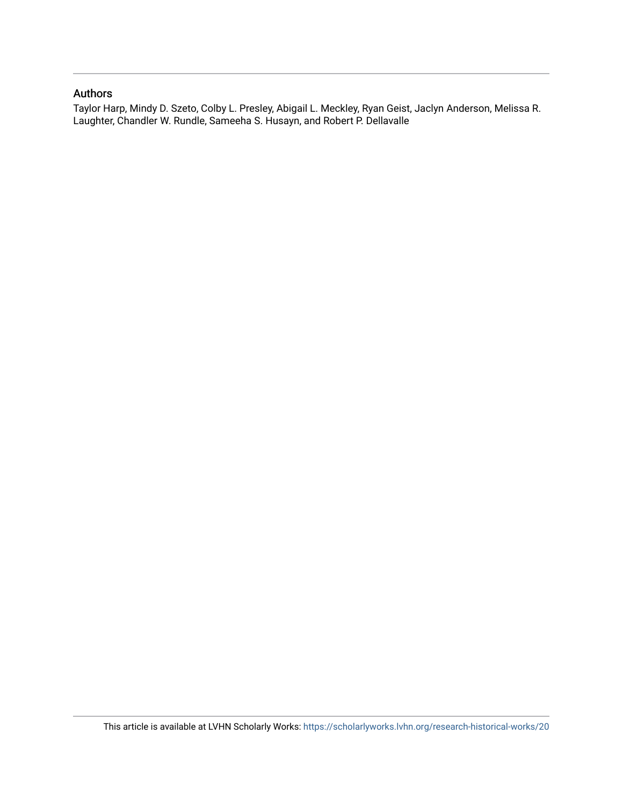## Authors

Taylor Harp, Mindy D. Szeto, Colby L. Presley, Abigail L. Meckley, Ryan Geist, Jaclyn Anderson, Melissa R. Laughter, Chandler W. Rundle, Sameeha S. Husayn, and Robert P. Dellavalle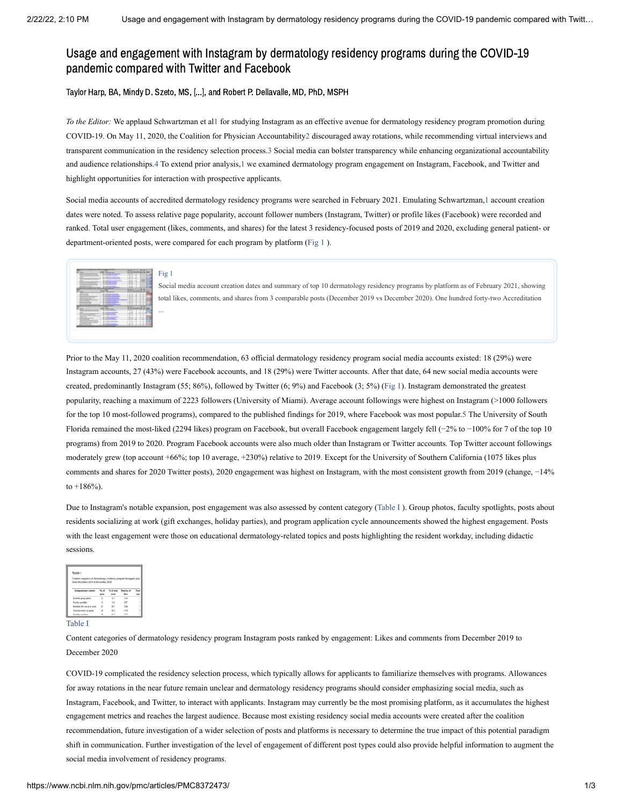## Usage and engagement with Instagram by dermatology residency programs during the COVID-19 pandemic compared with Twitter and Facebook

Taylor Harp, BA, Mindy D. Szeto, MS, [...], and Robert P. Dellavalle, MD, PhD, MSPH

*To the Editor:* We applaud Schwartzman et a[l1](#page-3-0) for studying Instagram as an effective avenue for dermatology residency program promotion during COVID-19. On May 11, 2020, the Coalition for Physician Accountabilit[y2](#page-3-1) discouraged away rotations, while recommending virtual interviews and transparent communication in the residency selection process[.3](#page-4-0) Social media can bolster transparency while enhancing organizational accountability and audience relationships.[4](#page-4-1) To extend prior analysis,[1](#page-3-0) we examined dermatology program engagement on Instagram, Facebook, and Twitter and highlight opportunities for interaction with prospective applicants.

Social media accounts of accredited dermatology residency programs were searched in February 2021. Emulating Schwartzman,[1](#page-3-0) account creation dates were noted. To assess relative page popularity, account follower numbers (Instagram, Twitter) or profile likes (Facebook) were recorded and ranked. Total user engagement (likes, comments, and shares) for the latest 3 residency-focused posts of 2019 and 2020, excluding general patient- or department-oriented posts, were compared for each program by platform ([Fig](https://www.ncbi.nlm.nih.gov/pmc/articles/PMC8372473/figure/fig1/?report=objectonly) 1 ).



#### [Fig](https://www.ncbi.nlm.nih.gov/pmc/articles/PMC8372473/figure/fig1/?report=objectonly) 1

...

Social media account creation dates and summary of top 10 dermatology residency programs by platform as of February 2021, showing total likes, comments, and shares from 3 comparable posts (December 2019 vs December 2020). One hundred forty-two Accreditation

Prior to the May 11, 2020 coalition recommendation, 63 official dermatology residency program social media accounts existed: 18 (29%) were Instagram accounts, 27 (43%) were Facebook accounts, and 18 (29%) were Twitter accounts. After that date, 64 new social media accounts were created, predominantly Instagram (55; 86%), followed by Twitter (6; 9%) and Facebook (3; 5%) ([Fig](https://www.ncbi.nlm.nih.gov/pmc/articles/PMC8372473/figure/fig1/?report=objectonly) 1). Instagram demonstrated the greatest popularity, reaching a maximum of 2223 followers (University of Miami). Average account followings were highest on Instagram (>1000 followers for the top 10 most-followed programs), compared to the published findings for 2019, where Facebook was most popular[.5](#page-4-2) The University of South Florida remained the most-liked (2294 likes) program on Facebook, but overall Facebook engagement largely fell (−2% to −100% for 7 of the top 10 programs) from 2019 to 2020. Program Facebook accounts were also much older than Instagram or Twitter accounts. Top Twitter account followings moderately grew (top account +66%; top 10 average, +230%) relative to 2019. Except for the University of Southern California (1075 likes plus comments and shares for 2020 Twitter posts), 2020 engagement was highest on Instagram, with the most consistent growth from 2019 (change, −14% to +186%).

Due to Instagram's notable expansion, post engagement was also assessed by content category [\(Table](https://www.ncbi.nlm.nih.gov/pmc/articles/PMC8372473/table/tbl1/?report=objectonly) I ). Group photos, faculty spotlights, posts about residents socializing at work (gift exchanges, holiday parties), and program application cycle announcements showed the highest engagement. Posts with the least engagement were those on educational dermatology-related topics and posts highlighting the resident workday, including didactic sessions.

| Table I<br>Content categories of dermatology residency program Instagram post<br>from December 2019 to December 2020. |                |                     |                             |              |
|-----------------------------------------------------------------------------------------------------------------------|----------------|---------------------|-----------------------------|--------------|
| Instagram post content                                                                                                | No. of<br>poch | % of total<br>posts | Tetal no. of<br><b>Show</b> | Tetal<br>com |
| Resident group photo                                                                                                  | 22             | 8.7                 | 1130                        |              |
| Faculty spotlight                                                                                                     | 13.            | 5.2                 | 627                         |              |
| Resident life: social at work.                                                                                        | o              | 18.7                | 2298                        |              |
| Announcement program                                                                                                  | $\mathbf{x}$   | 10.3                | 1170                        |              |
| <b>Rockhoot coordinate</b>                                                                                            | w              | 11 E                | stern.                      |              |

#### [Table](https://www.ncbi.nlm.nih.gov/pmc/articles/PMC8372473/table/tbl1/?report=objectonly) I

Content categories of dermatology residency program Instagram posts ranked by engagement: Likes and comments from December 2019 to December 2020

COVID-19 complicated the residency selection process, which typically allows for applicants to familiarize themselves with programs. Allowances for away rotations in the near future remain unclear and dermatology residency programs should consider emphasizing social media, such as Instagram, Facebook, and Twitter, to interact with applicants. Instagram may currently be the most promising platform, as it accumulates the highest engagement metrics and reaches the largest audience. Because most existing residency social media accounts were created after the coalition recommendation, future investigation of a wider selection of posts and platforms is necessary to determine the true impact of this potential paradigm shift in communication. Further investigation of the level of engagement of different post types could also provide helpful information to augment the social media involvement of residency programs.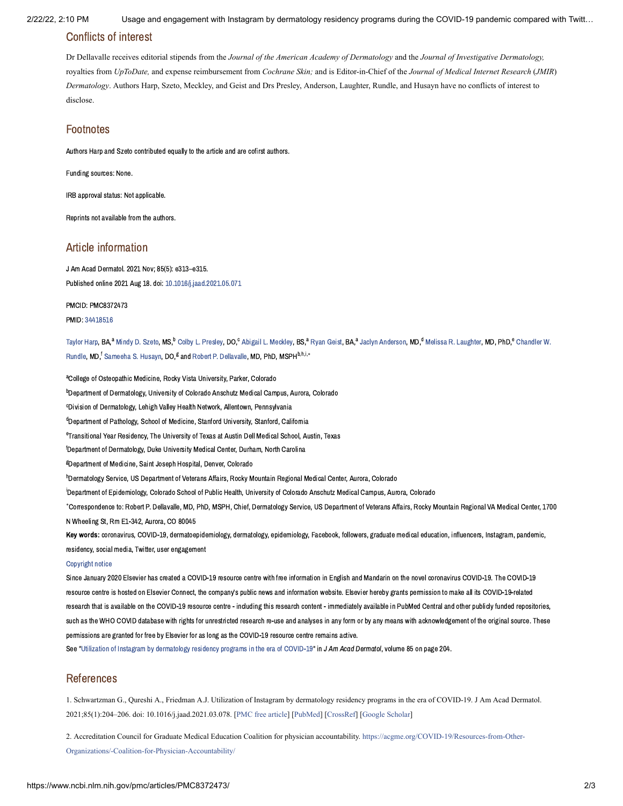2/22/22, 2:10 PM Usage and engagement with Instagram by dermatology residency programs during the COVID-19 pandemic compared with Twitt…

## Conflicts of interest

Dr Dellavalle receives editorial stipends from the *Journal of the American Academy of Dermatology* and the *Journal of Investigative Dermatology,* royalties from *UpToDate,* and expense reimbursement from *Cochrane Skin;* and is Editor-in-Chief of the *Journal of Medical Internet Research* (*JMIR*) *Dermatology*. Authors Harp, Szeto, Meckley, and Geist and Drs Presley, Anderson, Laughter, Rundle, and Husayn have no conflicts of interest to disclose.

## Footnotes

Authors Harp and Szeto contributed equally to the article and are cofirst authors.

Funding sources: None.

IRB approval status: Not applicable.

Reprints not available from the authors.

## Article information

J Am Acad Dermatol. 2021 Nov; 85(5): e313–e315. Published online 2021 Aug 18. doi: [10.1016/j.jaad.2021.05.071](https://dx.doi.org/10.1016%2Fj.jaad.2021.05.071)

PMCID: PMC8372473

PMID: [34418516](https://www.ncbi.nlm.nih.gov/pubmed/34418516)

[Taylor](https://www.ncbi.nlm.nih.gov/pubmed/?term=Harp%20T%5BAuthor%5D&cauthor=true&cauthor_uid=34418516) Harp, BA,<sup>a</sup> [Mindy](https://www.ncbi.nlm.nih.gov/pubmed/?term=Szeto%20MD%5BAuthor%5D&cauthor=true&cauthor_uid=34418516) D. Szeto, MS,<sup>b</sup> Colby L. [Presley,](https://www.ncbi.nlm.nih.gov/pubmed/?term=Presley%20CL%5BAuthor%5D&cauthor=true&cauthor_uid=34418516) DO,<sup>c</sup> Abigail L. [Meckley](https://www.ncbi.nlm.nih.gov/pubmed/?term=Meckley%20AL%5BAuthor%5D&cauthor=true&cauthor_uid=34418516), BS,<sup>a</sup> Ryan [Geist](https://www.ncbi.nlm.nih.gov/pubmed/?term=Geist%20R%5BAuthor%5D&cauthor=true&cauthor_uid=34418516), BA,<sup>a</sup> Jaclyn [Anderson,](https://www.ncbi.nlm.nih.gov/pubmed/?term=Anderson%20J%5BAuthor%5D&cauthor=true&cauthor_uid=34418516) MD,<sup>d</sup> Melissa R. [Laughter,](https://www.ncbi.nlm.nih.gov/pubmed/?term=Laughter%20MR%5BAuthor%5D&cauthor=true&cauthor_uid=34418516) MD, PhD,<sup>e</sup> Chandler W. Rundle, MD.<sup>f</sup> [Sameeha](https://www.ncbi.nlm.nih.gov/pubmed/?term=Husayn%20SS%5BAuthor%5D&cauthor=true&cauthor_uid=34418516) S. Husayn, DO.<sup>g</sup> and Robert P. [Dellavalle,](https://www.ncbi.nlm.nih.gov/pubmed/?term=Rundle%20CW%5BAuthor%5D&cauthor=true&cauthor_uid=34418516) MD. PhD. MSPH<sup>b,h,i,∗</sup>

<sup>a</sup>College of Osteopathic Medicine, Rocky Vista University, Parker, Colorado <sup>b</sup>Department of Dermatology, University of Colorado Anschutz Medical Campus, Aurora, Colorado <sup>c</sup>Division of Dermatology, Lehigh Valley Health Network, Allentown, Pennsylvania <sup>d</sup>Department of Pathology, School of Medicine, Stanford University, Stanford, California <sup>e</sup>Transitional Year Residency. The University of Texas at Austin Dell Medical School, Austin, Texas <sup>f</sup>Department of Dermatology, Duke University Medical Center, Durham, North Carolina <sup>g</sup>Department of Medicine, Saint Joseph Hospital, Denver, Colorado <sup>h</sup>Dermatology Service, US Department of Veterans Affairs, Rocky Mountain Regional Medical Center, Aurora, Colorado <sup>i</sup>Department of Epidemiology, Colorado School of Public Health, University of Colorado Anschutz Medical Campus, Aurora, Colorado Correspondence to: Robert P. Dellavalle, MD, PhD, MSPH, Chief, Dermatology Service, US Department of Veterans Affairs, Rocky Mountain Regional VA Medical Center, 1700 ∗N Wheeling St, Rm E1-342, Aurora, CO 80045 Key words: coronavirus, COVID-19, dermatoepidemiology, dermatology, epidemiology, Facebook, followers, graduate medical education, influencers, Instagram, pandemic, residency, social media, Twitter, user engagement

#### [Copyright](https://www.ncbi.nlm.nih.gov/pmc/about/copyright/) notice

Since January 2020 Elsevier has created a COVID-19 resource centre with free information in English and Mandarin on the novel coronavirus COVID-19. The COVID-19 resource centre is hosted on Elsevier Connect, the company's public news and information website. Elsevier hereby grants permission to make all its COVID-19-related research that is available on the COVID-19 resource centre - including this research content - immediately available in PubMed Central and other publicly funded repositories, such as the WHO COVID database with rights for unrestricted research re-use and analyses in any form or by any means with acknowledgement of the original source. These permissions are granted for free by Elsevier for as long as the COVID-19 resource centre remains active.

See "Utilization of Instagram by [dermatology](https://www.ncbi.nlm.nih.gov/pmc/articles/PMC8012161/?report=reader) residency programs in the era of COVID-19" in JAm Acad Dermatol, volume 85 on page 204.

## References

<span id="page-3-0"></span>1. Schwartzman G., Qureshi A., Friedman A.J. Utilization of Instagram by dermatology residency programs in the era of COVID-19. J Am Acad Dermatol. 2021;85(1):204–206. doi: 10.1016/j.jaad.2021.03.078. [\[PMC free article](https://www.ncbi.nlm.nih.gov/pmc/articles/PMC8012161/?report=reader)] [\[PubMed\]](https://www.ncbi.nlm.nih.gov/pubmed/33811936) [[CrossRef](https://dx.doi.org/10.1016%2Fj.jaad.2021.03.078)] [[Google Scholar](https://scholar.google.com/scholar_lookup?journal=J+Am+Acad+Dermatol&title=Utilization+of+Instagram+by+dermatology+residency+programs+in+the+era%C2%A0of%C2%A0COVID-19&author=G.+Schwartzman&author=A.+Qureshi&author=A.J.+Friedman&volume=85&issue=1&publication_year=2021&pages=204-206&pmid=33811936&doi=10.1016/j.jaad.2021.03.078&)]

<span id="page-3-1"></span>[2. Accreditation Council for Graduate Medical Education Coalition for physician accountability. https://acgme.org/COVID-19/Resources-from-Other-](https://acgme.org/COVID-19/Resources-from-Other-Organizations/-Coalition-for-Physician-Accountability/)Organizations/-Coalition-for-Physician-Accountability/